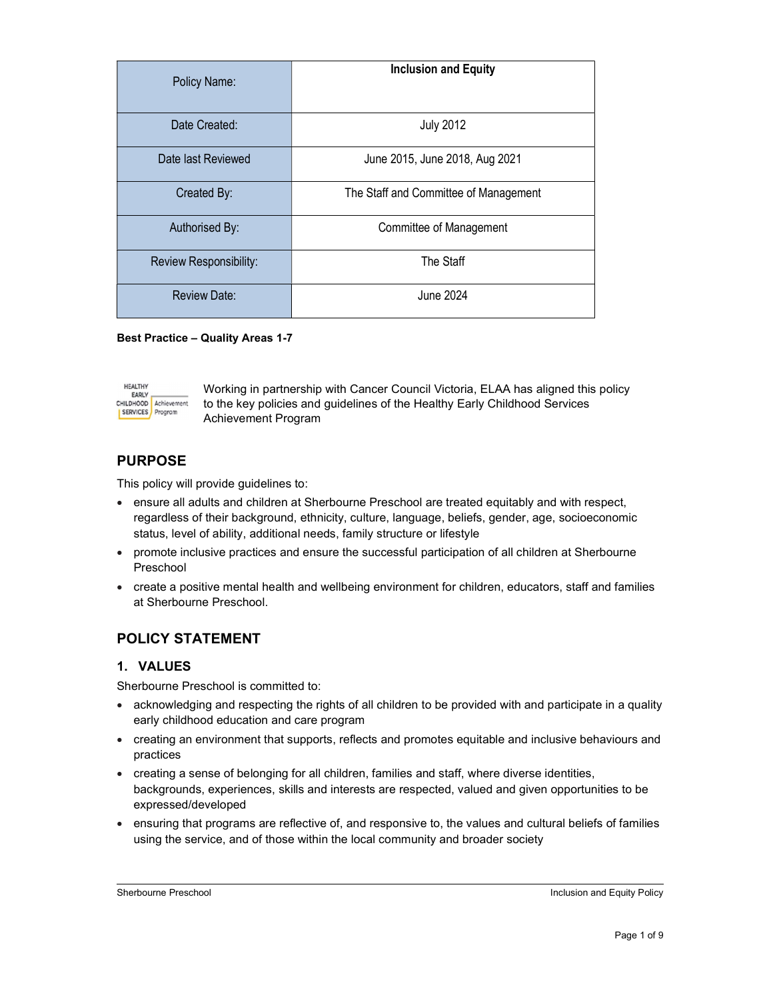| Policy Name:           | <b>Inclusion and Equity</b>           |
|------------------------|---------------------------------------|
| Date Created:          | <b>July 2012</b>                      |
| Date last Reviewed     | June 2015, June 2018, Aug 2021        |
| Created By:            | The Staff and Committee of Management |
| Authorised By:         | Committee of Management               |
| Review Responsibility: | The Staff                             |
| <b>Review Date:</b>    | June 2024                             |

Best Practice – Quality Areas 1-7



Working in partnership with Cancer Council Victoria, ELAA has aligned this policy to the key policies and guidelines of the Healthy Early Childhood Services Achievement Program

# PURPOSE

This policy will provide guidelines to:

- ensure all adults and children at Sherbourne Preschool are treated equitably and with respect, regardless of their background, ethnicity, culture, language, beliefs, gender, age, socioeconomic status, level of ability, additional needs, family structure or lifestyle
- promote inclusive practices and ensure the successful participation of all children at Sherbourne Preschool
- create a positive mental health and wellbeing environment for children, educators, staff and families at Sherbourne Preschool.

# POLICY STATEMENT

## 1. VALUES

Sherbourne Preschool is committed to:

- acknowledging and respecting the rights of all children to be provided with and participate in a quality early childhood education and care program
- creating an environment that supports, reflects and promotes equitable and inclusive behaviours and practices
- creating a sense of belonging for all children, families and staff, where diverse identities, backgrounds, experiences, skills and interests are respected, valued and given opportunities to be expressed/developed
- ensuring that programs are reflective of, and responsive to, the values and cultural beliefs of families using the service, and of those within the local community and broader society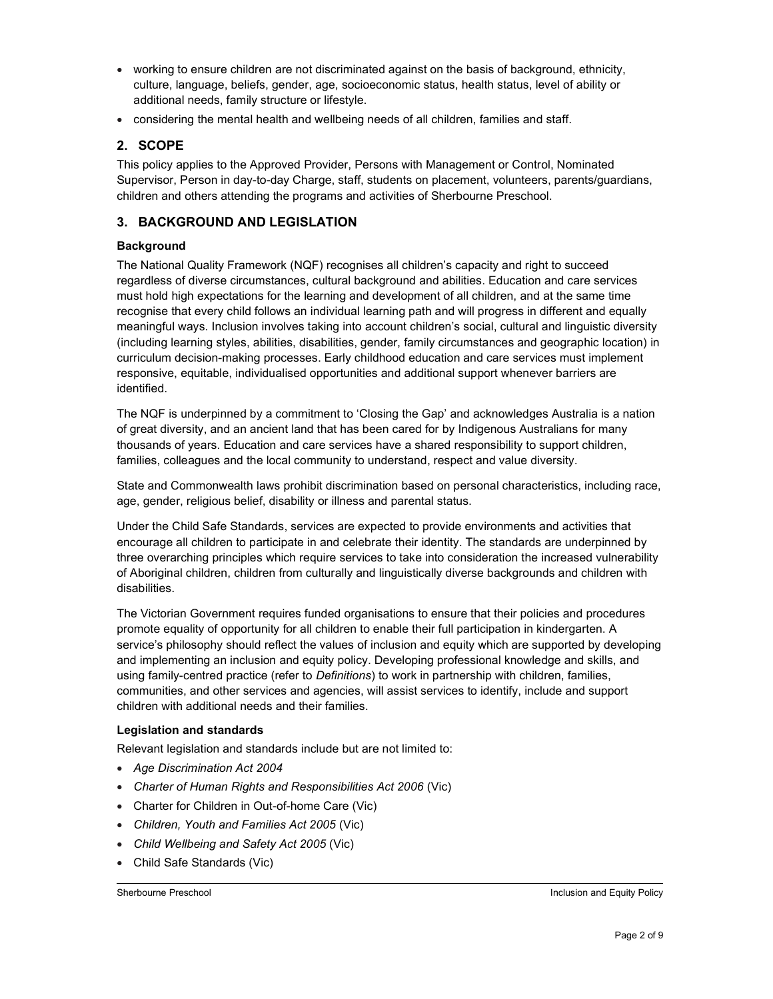- working to ensure children are not discriminated against on the basis of background, ethnicity, culture, language, beliefs, gender, age, socioeconomic status, health status, level of ability or additional needs, family structure or lifestyle.
- considering the mental health and wellbeing needs of all children, families and staff.

## 2. SCOPE

This policy applies to the Approved Provider, Persons with Management or Control, Nominated Supervisor, Person in day-to-day Charge, staff, students on placement, volunteers, parents/guardians, children and others attending the programs and activities of Sherbourne Preschool.

## 3. BACKGROUND AND LEGISLATION

## **Background**

The National Quality Framework (NQF) recognises all children's capacity and right to succeed regardless of diverse circumstances, cultural background and abilities. Education and care services must hold high expectations for the learning and development of all children, and at the same time recognise that every child follows an individual learning path and will progress in different and equally meaningful ways. Inclusion involves taking into account children's social, cultural and linguistic diversity (including learning styles, abilities, disabilities, gender, family circumstances and geographic location) in curriculum decision-making processes. Early childhood education and care services must implement responsive, equitable, individualised opportunities and additional support whenever barriers are identified.

The NQF is underpinned by a commitment to 'Closing the Gap' and acknowledges Australia is a nation of great diversity, and an ancient land that has been cared for by Indigenous Australians for many thousands of years. Education and care services have a shared responsibility to support children, families, colleagues and the local community to understand, respect and value diversity.

State and Commonwealth laws prohibit discrimination based on personal characteristics, including race, age, gender, religious belief, disability or illness and parental status.

Under the Child Safe Standards, services are expected to provide environments and activities that encourage all children to participate in and celebrate their identity. The standards are underpinned by three overarching principles which require services to take into consideration the increased vulnerability of Aboriginal children, children from culturally and linguistically diverse backgrounds and children with disabilities.

The Victorian Government requires funded organisations to ensure that their policies and procedures promote equality of opportunity for all children to enable their full participation in kindergarten. A service's philosophy should reflect the values of inclusion and equity which are supported by developing and implementing an inclusion and equity policy. Developing professional knowledge and skills, and using family-centred practice (refer to Definitions) to work in partnership with children, families, communities, and other services and agencies, will assist services to identify, include and support children with additional needs and their families.

#### Legislation and standards

Relevant legislation and standards include but are not limited to:

- Age Discrimination Act 2004
- Charter of Human Rights and Responsibilities Act 2006 (Vic)
- Charter for Children in Out-of-home Care (Vic)
- Children, Youth and Families Act 2005 (Vic)
- Child Wellbeing and Safety Act 2005 (Vic)
- Child Safe Standards (Vic)

#### Sherbourne Preschool **Inclusion and Equity Policy Inclusion and Equity Policy**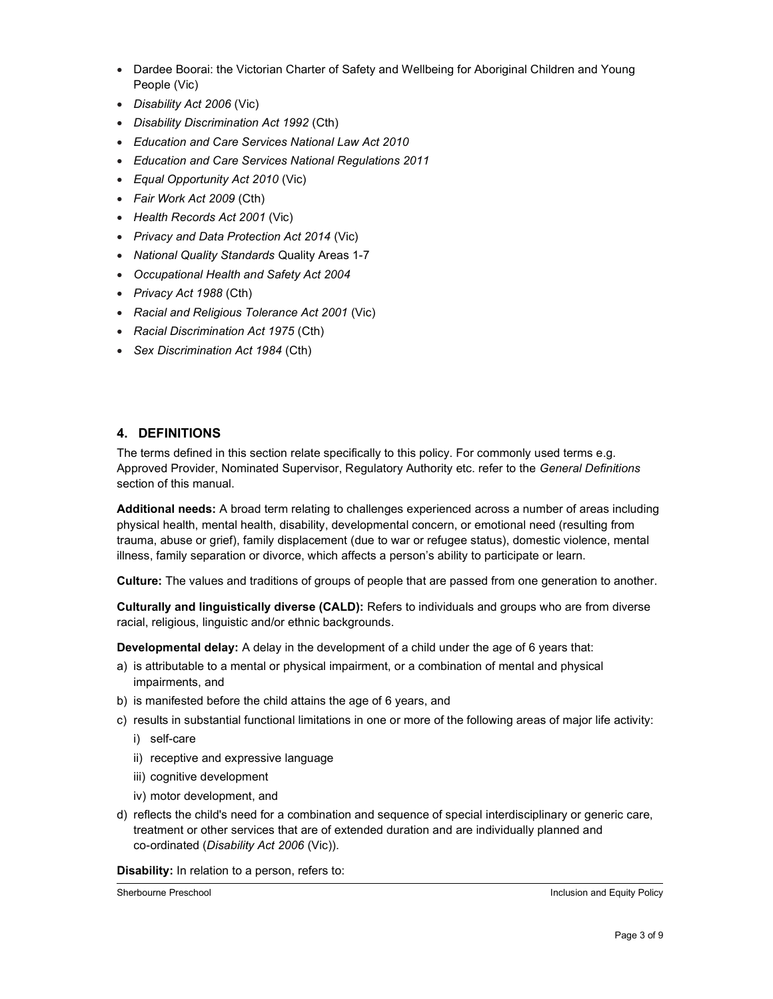- Dardee Boorai: the Victorian Charter of Safety and Wellbeing for Aboriginal Children and Young People (Vic)
- Disability Act 2006 (Vic)
- Disability Discrimination Act 1992 (Cth)
- Education and Care Services National Law Act 2010
- Education and Care Services National Regulations 2011
- Equal Opportunity Act 2010 (Vic)
- Fair Work Act 2009 (Cth)
- Health Records Act 2001 (Vic)
- Privacy and Data Protection Act 2014 (Vic)
- National Quality Standards Quality Areas 1-7
- Occupational Health and Safety Act 2004
- Privacy Act 1988 (Cth)
- Racial and Religious Tolerance Act 2001 (Vic)
- Racial Discrimination Act 1975 (Cth)
- Sex Discrimination Act 1984 (Cth)

## 4. DEFINITIONS

The terms defined in this section relate specifically to this policy. For commonly used terms e.g. Approved Provider, Nominated Supervisor, Regulatory Authority etc. refer to the General Definitions section of this manual.

Additional needs: A broad term relating to challenges experienced across a number of areas including physical health, mental health, disability, developmental concern, or emotional need (resulting from trauma, abuse or grief), family displacement (due to war or refugee status), domestic violence, mental illness, family separation or divorce, which affects a person's ability to participate or learn.

Culture: The values and traditions of groups of people that are passed from one generation to another.

Culturally and linguistically diverse (CALD): Refers to individuals and groups who are from diverse racial, religious, linguistic and/or ethnic backgrounds.

Developmental delay: A delay in the development of a child under the age of 6 years that:

- a) is attributable to a mental or physical impairment, or a combination of mental and physical impairments, and
- b) is manifested before the child attains the age of 6 years, and
- c) results in substantial functional limitations in one or more of the following areas of major life activity:
	- i) self-care
	- ii) receptive and expressive language
	- iii) cognitive development
	- iv) motor development, and
- d) reflects the child's need for a combination and sequence of special interdisciplinary or generic care, treatment or other services that are of extended duration and are individually planned and co-ordinated (Disability Act 2006 (Vic)).

#### Disability: In relation to a person, refers to:

Sherbourne Preschool **Inclusion and Equity Policy Inclusion and Equity Policy**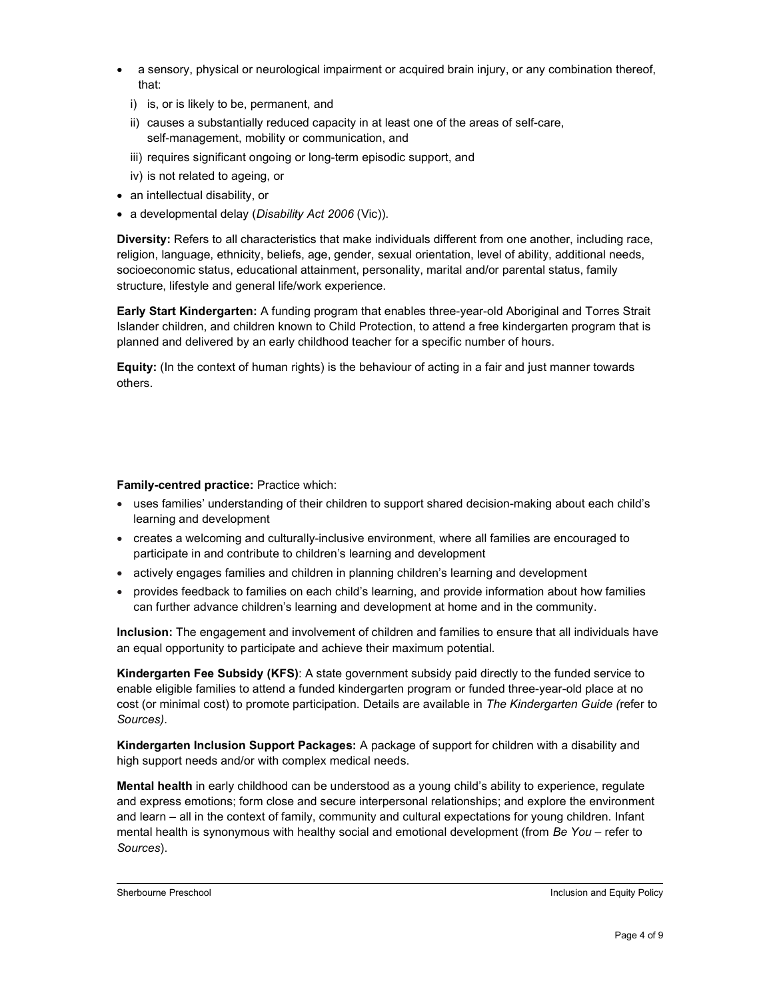- a sensory, physical or neurological impairment or acquired brain injury, or any combination thereof, that:
	- i) is, or is likely to be, permanent, and
	- ii) causes a substantially reduced capacity in at least one of the areas of self-care, self-management, mobility or communication, and
	- iii) requires significant ongoing or long-term episodic support, and
	- iv) is not related to ageing, or
- an intellectual disability, or
- a developmental delay (Disability Act 2006 (Vic)).

Diversity: Refers to all characteristics that make individuals different from one another, including race, religion, language, ethnicity, beliefs, age, gender, sexual orientation, level of ability, additional needs, socioeconomic status, educational attainment, personality, marital and/or parental status, family structure, lifestyle and general life/work experience.

Early Start Kindergarten: A funding program that enables three-year-old Aboriginal and Torres Strait Islander children, and children known to Child Protection, to attend a free kindergarten program that is planned and delivered by an early childhood teacher for a specific number of hours.

Equity: (In the context of human rights) is the behaviour of acting in a fair and just manner towards others.

#### Family-centred practice: Practice which:

- uses families' understanding of their children to support shared decision-making about each child's learning and development
- creates a welcoming and culturally-inclusive environment, where all families are encouraged to participate in and contribute to children's learning and development
- actively engages families and children in planning children's learning and development
- provides feedback to families on each child's learning, and provide information about how families can further advance children's learning and development at home and in the community.

Inclusion: The engagement and involvement of children and families to ensure that all individuals have an equal opportunity to participate and achieve their maximum potential.

Kindergarten Fee Subsidy (KFS): A state government subsidy paid directly to the funded service to enable eligible families to attend a funded kindergarten program or funded three-year-old place at no cost (or minimal cost) to promote participation. Details are available in The Kindergarten Guide (refer to Sources).

Kindergarten Inclusion Support Packages: A package of support for children with a disability and high support needs and/or with complex medical needs.

Mental health in early childhood can be understood as a young child's ability to experience, regulate and express emotions; form close and secure interpersonal relationships; and explore the environment and learn – all in the context of family, community and cultural expectations for young children. Infant mental health is synonymous with healthy social and emotional development (from Be You – refer to Sources).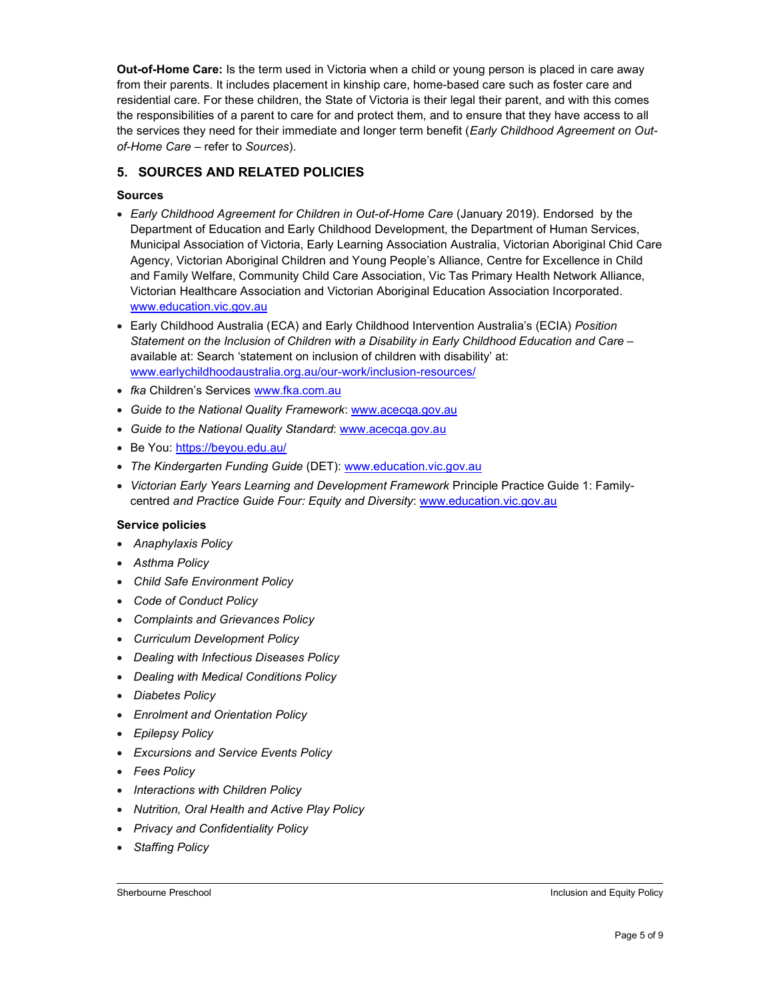Out-of-Home Care: Is the term used in Victoria when a child or young person is placed in care away from their parents. It includes placement in kinship care, home-based care such as foster care and residential care. For these children, the State of Victoria is their legal their parent, and with this comes the responsibilities of a parent to care for and protect them, and to ensure that they have access to all the services they need for their immediate and longer term benefit (Early Childhood Agreement on Outof-Home Care – refer to Sources).

## 5. SOURCES AND RELATED POLICIES

### Sources

- Early Childhood Agreement for Children in Out-of-Home Care (January 2019). Endorsed by the Department of Education and Early Childhood Development, the Department of Human Services, Municipal Association of Victoria, Early Learning Association Australia, Victorian Aboriginal Chid Care Agency, Victorian Aboriginal Children and Young People's Alliance, Centre for Excellence in Child and Family Welfare, Community Child Care Association, Vic Tas Primary Health Network Alliance, Victorian Healthcare Association and Victorian Aboriginal Education Association Incorporated. www.education.vic.gov.au
- Early Childhood Australia (ECA) and Early Childhood Intervention Australia's (ECIA) Position Statement on the Inclusion of Children with a Disability in Early Childhood Education and Care – available at: Search 'statement on inclusion of children with disability' at: www.earlychildhoodaustralia.org.au/our-work/inclusion-resources/
- fka Children's Services www.fka.com.au
- Guide to the National Quality Framework: www.acecqa.gov.au
- Guide to the National Quality Standard: www.acecqa.gov.au
- Be You: https://beyou.edu.au/
- The Kindergarten Funding Guide (DET): www.education.vic.gov.au
- Victorian Early Years Learning and Development Framework Principle Practice Guide 1: Familycentred and Practice Guide Four: Equity and Diversity: www.education.vic.gov.au

#### Service policies

- Anaphylaxis Policy
- Asthma Policy
- Child Safe Environment Policy
- Code of Conduct Policy
- Complaints and Grievances Policy
- Curriculum Development Policy
- Dealing with Infectious Diseases Policy
- Dealing with Medical Conditions Policy
- Diabetes Policy
- Enrolment and Orientation Policy
- Epilepsy Policy
- Excursions and Service Events Policy
- Fees Policy
- Interactions with Children Policy
- Nutrition, Oral Health and Active Play Policy
- Privacy and Confidentiality Policy
- Staffing Policy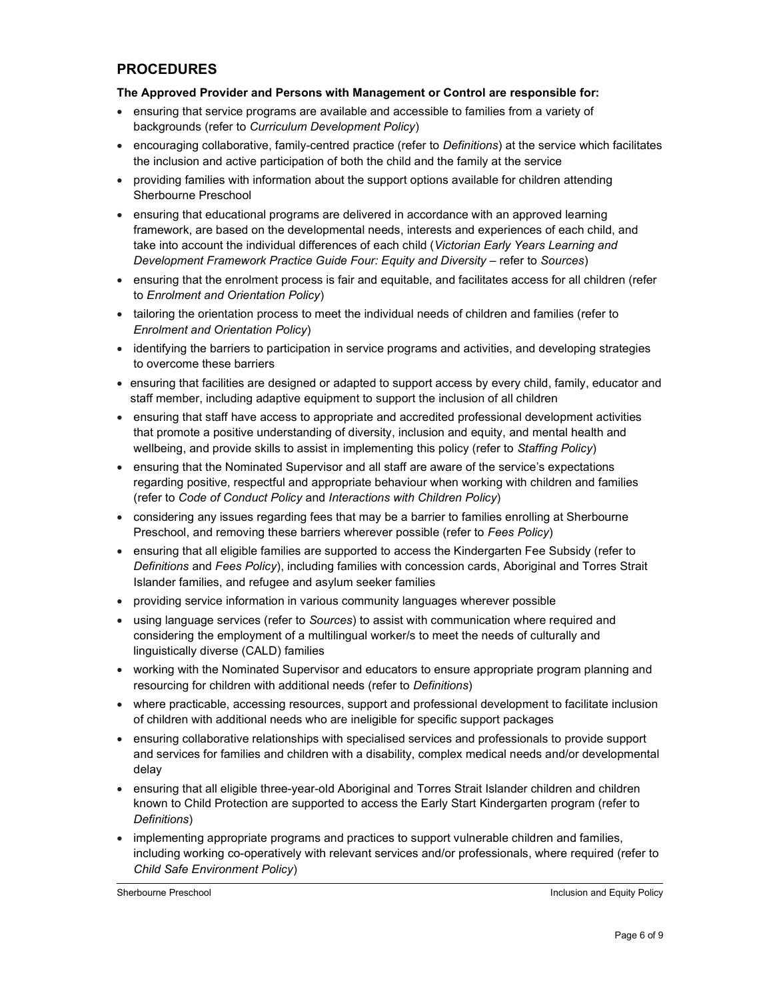# PROCEDURES

#### The Approved Provider and Persons with Management or Control are responsible for:

- ensuring that service programs are available and accessible to families from a variety of backgrounds (refer to Curriculum Development Policy)
- encouraging collaborative, family-centred practice (refer to Definitions) at the service which facilitates the inclusion and active participation of both the child and the family at the service
- providing families with information about the support options available for children attending Sherbourne Preschool
- ensuring that educational programs are delivered in accordance with an approved learning framework, are based on the developmental needs, interests and experiences of each child, and take into account the individual differences of each child (Victorian Early Years Learning and Development Framework Practice Guide Four: Equity and Diversity – refer to Sources)
- ensuring that the enrolment process is fair and equitable, and facilitates access for all children (refer to Enrolment and Orientation Policy)
- tailoring the orientation process to meet the individual needs of children and families (refer to Enrolment and Orientation Policy)
- identifying the barriers to participation in service programs and activities, and developing strategies to overcome these barriers
- ensuring that facilities are designed or adapted to support access by every child, family, educator and staff member, including adaptive equipment to support the inclusion of all children
- ensuring that staff have access to appropriate and accredited professional development activities that promote a positive understanding of diversity, inclusion and equity, and mental health and wellbeing, and provide skills to assist in implementing this policy (refer to Staffing Policy)
- ensuring that the Nominated Supervisor and all staff are aware of the service's expectations regarding positive, respectful and appropriate behaviour when working with children and families (refer to Code of Conduct Policy and Interactions with Children Policy)
- considering any issues regarding fees that may be a barrier to families enrolling at Sherbourne Preschool, and removing these barriers wherever possible (refer to Fees Policy)
- ensuring that all eligible families are supported to access the Kindergarten Fee Subsidy (refer to Definitions and Fees Policy), including families with concession cards, Aboriginal and Torres Strait Islander families, and refugee and asylum seeker families
- providing service information in various community languages wherever possible
- using language services (refer to Sources) to assist with communication where required and considering the employment of a multilingual worker/s to meet the needs of culturally and linguistically diverse (CALD) families
- working with the Nominated Supervisor and educators to ensure appropriate program planning and resourcing for children with additional needs (refer to Definitions)
- where practicable, accessing resources, support and professional development to facilitate inclusion of children with additional needs who are ineligible for specific support packages
- ensuring collaborative relationships with specialised services and professionals to provide support and services for families and children with a disability, complex medical needs and/or developmental delay
- ensuring that all eligible three-year-old Aboriginal and Torres Strait Islander children and children known to Child Protection are supported to access the Early Start Kindergarten program (refer to Definitions)
- implementing appropriate programs and practices to support vulnerable children and families, including working co-operatively with relevant services and/or professionals, where required (refer to Child Safe Environment Policy)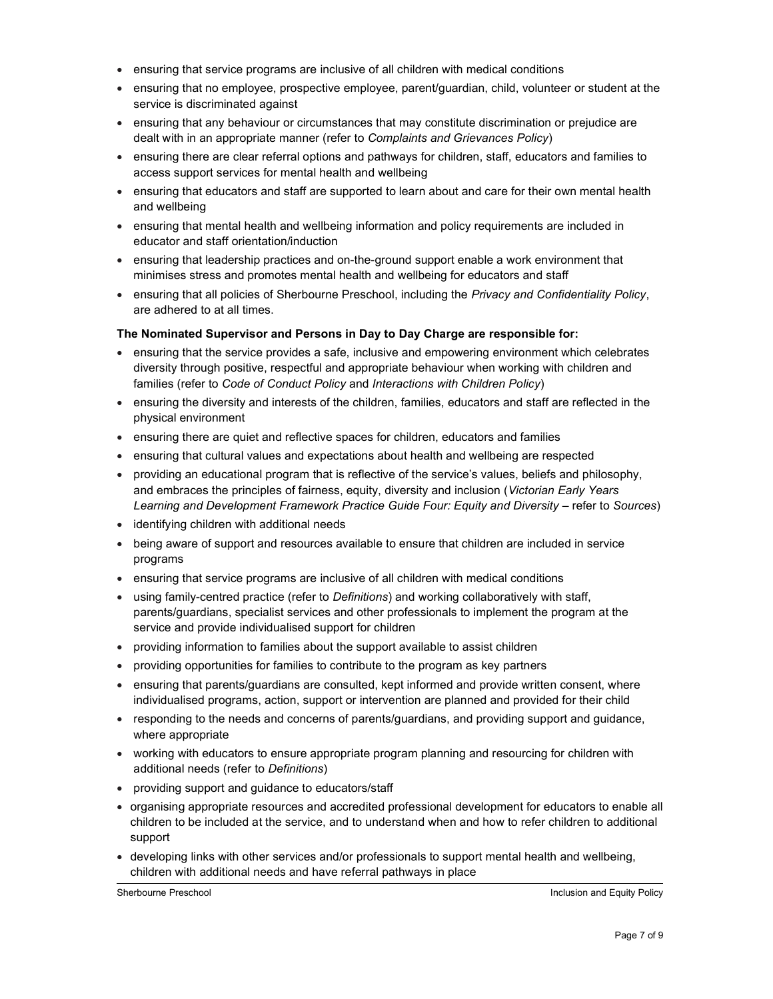- ensuring that service programs are inclusive of all children with medical conditions
- ensuring that no employee, prospective employee, parent/guardian, child, volunteer or student at the service is discriminated against
- ensuring that any behaviour or circumstances that may constitute discrimination or prejudice are dealt with in an appropriate manner (refer to Complaints and Grievances Policy)
- ensuring there are clear referral options and pathways for children, staff, educators and families to access support services for mental health and wellbeing
- ensuring that educators and staff are supported to learn about and care for their own mental health and wellbeing
- ensuring that mental health and wellbeing information and policy requirements are included in educator and staff orientation/induction
- ensuring that leadership practices and on-the-ground support enable a work environment that minimises stress and promotes mental health and wellbeing for educators and staff
- ensuring that all policies of Sherbourne Preschool, including the Privacy and Confidentiality Policy, are adhered to at all times.

#### The Nominated Supervisor and Persons in Day to Day Charge are responsible for:

- ensuring that the service provides a safe, inclusive and empowering environment which celebrates diversity through positive, respectful and appropriate behaviour when working with children and families (refer to Code of Conduct Policy and Interactions with Children Policy)
- ensuring the diversity and interests of the children, families, educators and staff are reflected in the physical environment
- ensuring there are quiet and reflective spaces for children, educators and families
- ensuring that cultural values and expectations about health and wellbeing are respected
- providing an educational program that is reflective of the service's values, beliefs and philosophy, and embraces the principles of fairness, equity, diversity and inclusion (Victorian Early Years Learning and Development Framework Practice Guide Four: Equity and Diversity – refer to Sources)
- identifying children with additional needs
- being aware of support and resources available to ensure that children are included in service programs
- ensuring that service programs are inclusive of all children with medical conditions
- using family-centred practice (refer to *Definitions*) and working collaboratively with staff, parents/guardians, specialist services and other professionals to implement the program at the service and provide individualised support for children
- providing information to families about the support available to assist children
- providing opportunities for families to contribute to the program as key partners
- ensuring that parents/guardians are consulted, kept informed and provide written consent, where individualised programs, action, support or intervention are planned and provided for their child
- responding to the needs and concerns of parents/guardians, and providing support and guidance, where appropriate
- working with educators to ensure appropriate program planning and resourcing for children with additional needs (refer to Definitions)
- providing support and guidance to educators/staff
- organising appropriate resources and accredited professional development for educators to enable all children to be included at the service, and to understand when and how to refer children to additional support
- developing links with other services and/or professionals to support mental health and wellbeing, children with additional needs and have referral pathways in place

Sherbourne Preschool **Inclusion and Equity Policy Inclusion and Equity Policy**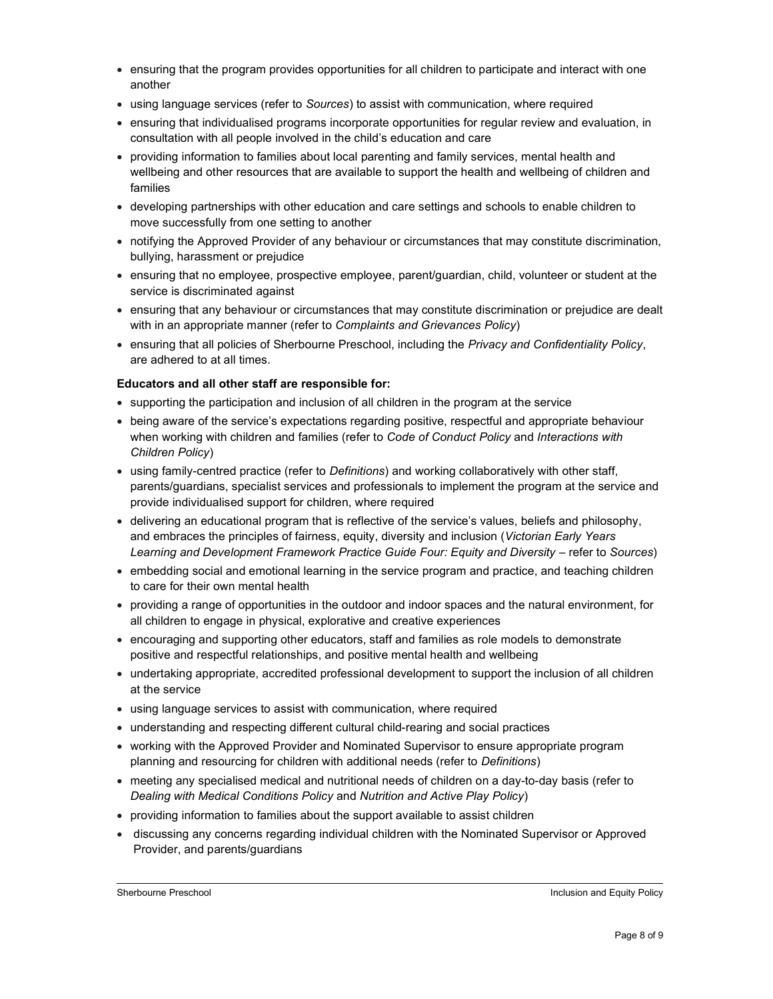- ensuring that the program provides opportunities for all children to participate and interact with one another
- using language services (refer to Sources) to assist with communication, where required
- ensuring that individualised programs incorporate opportunities for regular review and evaluation, in consultation with all people involved in the child's education and care
- providing information to families about local parenting and family services, mental health and wellbeing and other resources that are available to support the health and wellbeing of children and families
- developing partnerships with other education and care settings and schools to enable children to move successfully from one setting to another
- notifying the Approved Provider of any behaviour or circumstances that may constitute discrimination, bullying, harassment or prejudice
- ensuring that no employee, prospective employee, parent/guardian, child, volunteer or student at the service is discriminated against
- ensuring that any behaviour or circumstances that may constitute discrimination or prejudice are dealt with in an appropriate manner (refer to Complaints and Grievances Policy)
- ensuring that all policies of Sherbourne Preschool, including the Privacy and Confidentiality Policy, are adhered to at all times.

#### Educators and all other staff are responsible for:

- supporting the participation and inclusion of all children in the program at the service
- being aware of the service's expectations regarding positive, respectful and appropriate behaviour when working with children and families (refer to Code of Conduct Policy and Interactions with Children Policy)
- using family-centred practice (refer to Definitions) and working collaboratively with other staff, parents/guardians, specialist services and professionals to implement the program at the service and provide individualised support for children, where required
- delivering an educational program that is reflective of the service's values, beliefs and philosophy, and embraces the principles of fairness, equity, diversity and inclusion (Victorian Early Years Learning and Development Framework Practice Guide Four: Equity and Diversity – refer to Sources)
- embedding social and emotional learning in the service program and practice, and teaching children to care for their own mental health
- providing a range of opportunities in the outdoor and indoor spaces and the natural environment, for all children to engage in physical, explorative and creative experiences
- encouraging and supporting other educators, staff and families as role models to demonstrate positive and respectful relationships, and positive mental health and wellbeing
- undertaking appropriate, accredited professional development to support the inclusion of all children at the service
- using language services to assist with communication, where required
- understanding and respecting different cultural child-rearing and social practices
- working with the Approved Provider and Nominated Supervisor to ensure appropriate program planning and resourcing for children with additional needs (refer to Definitions)
- meeting any specialised medical and nutritional needs of children on a day-to-day basis (refer to Dealing with Medical Conditions Policy and Nutrition and Active Play Policy)
- providing information to families about the support available to assist children
- discussing any concerns regarding individual children with the Nominated Supervisor or Approved Provider, and parents/guardians